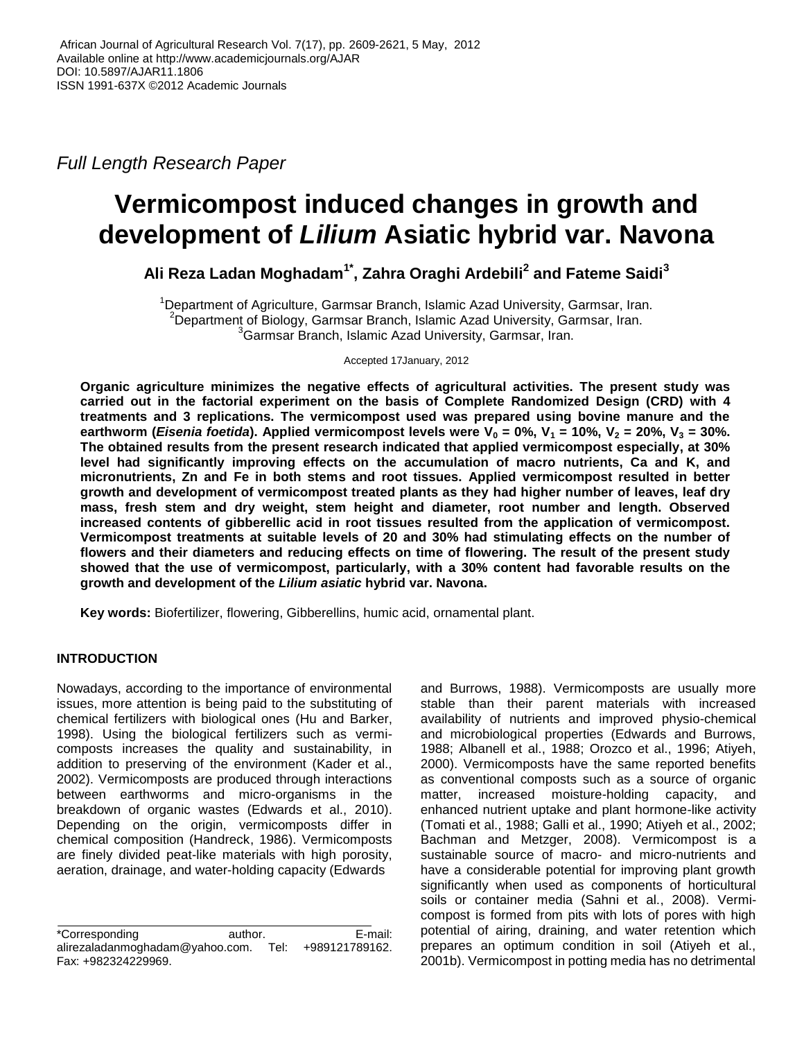*Full Length Research Paper*

# **Vermicompost induced changes in growth and development of** *Lilium* **Asiatic hybrid var. Navona**

**Ali Reza Ladan Moghadam1\*, Zahra Oraghi Ardebili<sup>2</sup> and Fateme Saidi<sup>3</sup>**

<sup>1</sup>Department of Agriculture, Garmsar Branch, Islamic Azad University, Garmsar, Iran. <sup>2</sup>Department of Biology, Garmsar Branch, Islamic Azad University, Garmsar, Iran. <sup>3</sup>Garmsar Branch, Islamic Azad University, Garmsar, Iran.

Accepted 17January, 2012

**Organic agriculture minimizes the negative effects of agricultural activities. The present study was carried out in the factorial experiment on the basis of Complete Randomized Design (CRD) with 4 treatments and 3 replications. The vermicompost used was prepared using bovine manure and the earthworm (***Eisenia foetida***). Applied vermicompost levels were**  $V_0 = 0\%$ **,**  $V_1 = 10\%$ **,**  $V_2 = 20\%$ **,**  $V_3 = 30\%$ **. The obtained results from the present research indicated that applied vermicompost especially, at 30% level had significantly improving effects on the accumulation of macro nutrients, Ca and K, and micronutrients, Zn and Fe in both stems and root tissues. Applied vermicompost resulted in better growth and development of vermicompost treated plants as they had higher number of leaves, leaf dry mass, fresh stem and dry weight, stem height and diameter, root number and length. Observed increased contents of gibberellic acid in root tissues resulted from the application of vermicompost. Vermicompost treatments at suitable levels of 20 and 30% had stimulating effects on the number of flowers and their diameters and reducing effects on time of flowering. The result of the present study showed that the use of vermicompost, particularly, with a 30% content had favorable results on the growth and development of the** *Lilium asiatic* **hybrid var. Navona.** 

**Key words:** Biofertilizer, flowering, Gibberellins, humic acid, ornamental plant.

## **INTRODUCTION**

Nowadays, according to the importance of environmental issues, more attention is being paid to the substituting of chemical fertilizers with biological ones (Hu and Barker, 1998). Using the biological fertilizers such as vermicomposts increases the quality and sustainability, in addition to preserving of the environment (Kader et al., 2002). Vermicomposts are produced through interactions between earthworms and micro-organisms in the breakdown of organic wastes (Edwards et al., 2010). Depending on the origin, vermicomposts differ in chemical composition (Handreck, 1986). Vermicomposts are finely divided peat-like materials with high porosity, aeration, drainage, and water-holding capacity (Edwards

and Burrows, 1988). Vermicomposts are usually more stable than their parent materials with increased availability of nutrients and improved physio-chemical and microbiological properties (Edwards and Burrows, 1988; Albanell et al., 1988; Orozco et al., 1996; Atiyeh, 2000). Vermicomposts have the same reported benefits as conventional composts such as a source of organic matter, increased moisture-holding capacity, and enhanced nutrient uptake and plant hormone-like activity (Tomati et al., 1988; Galli et al., 1990; Atiyeh et al., 2002; Bachman and Metzger, 2008). Vermicompost is a sustainable source of macro- and micro-nutrients and have a considerable potential for improving plant growth significantly when used as components of horticultural soils or container media (Sahni et al., 2008). Vermicompost is formed from pits with lots of pores with high potential of airing, draining, and water retention which prepares an optimum condition in soil (Atiyeh et al., 2001b). Vermicompost in potting media has no detrimental

<sup>\*</sup>Corresponding author. E-mail: alirezaladanmoghadam@yahoo.com. Tel: +989121789162. Fax: +982324229969.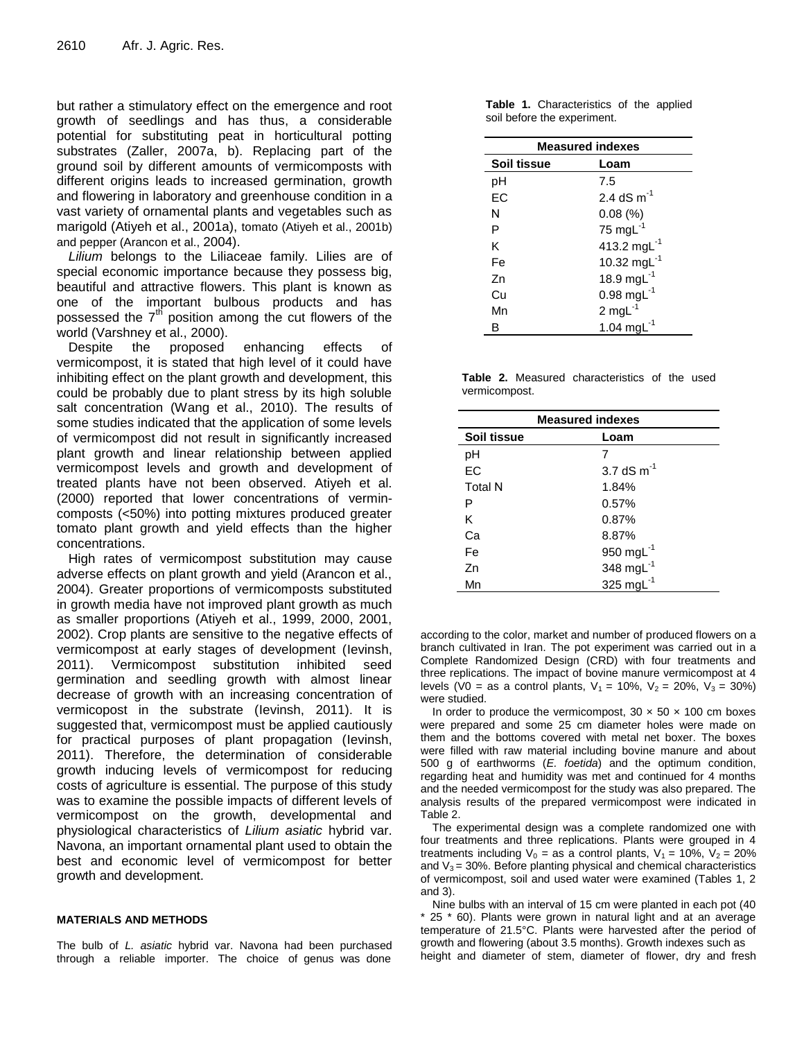but rather a stimulatory effect on the emergence and root growth of seedlings and has thus, a considerable potential for substituting peat in horticultural potting substrates (Zaller, 2007a, b). Replacing part of the ground soil by different amounts of vermicomposts with different origins leads to increased germination, growth and flowering in laboratory and greenhouse condition in a vast variety of ornamental plants and vegetables such as marigold (Atiyeh et al., 2001a), tomato (Atiyeh et al., 2001b) and pepper (Arancon et al., 2004).

*Lilium* belongs to the Liliaceae family. Lilies are of special economic importance because they possess big, beautiful and attractive flowers. This plant is known as one of the important bulbous products and has possessed the  $7<sup>th</sup>$  position among the cut flowers of the world (Varshney et al., 2000).

Despite the proposed enhancing effects of vermicompost, it is stated that high level of it could have inhibiting effect on the plant growth and development, this could be probably due to plant stress by its high soluble salt concentration (Wang et al., 2010). The results of some studies indicated that the application of some levels of vermicompost did not result in significantly increased plant growth and linear relationship between applied vermicompost levels and growth and development of treated plants have not been observed. Atiyeh et al. (2000) reported that lower concentrations of vermincomposts (<50%) into potting mixtures produced greater tomato plant growth and yield effects than the higher concentrations.

High rates of vermicompost substitution may cause adverse effects on plant growth and yield (Arancon et al., 2004). Greater proportions of vermicomposts substituted in growth media have not improved plant growth as much as smaller proportions (Atiyeh et al., 1999, 2000, 2001, 2002). Crop plants are sensitive to the negative effects of vermicompost at early stages of development (Ievinsh, 2011). Vermicompost substitution inhibited seed germination and seedling growth with almost linear decrease of growth with an increasing concentration of vermicopost in the substrate (Ievinsh, 2011). It is suggested that, vermicompost must be applied cautiously for practical purposes of plant propagation (Ievinsh, 2011). Therefore, the determination of considerable growth inducing levels of vermicompost for reducing costs of agriculture is essential. The purpose of this study was to examine the possible impacts of different levels of vermicompost on the growth, developmental and physiological characteristics of *Lilium asiatic* hybrid var. Navona, an important ornamental plant used to obtain the best and economic level of vermicompost for better growth and development.

#### **MATERIALS AND METHODS**

The bulb of *L. asiatic* hybrid var. Navona had been purchased through a reliable importer. The choice of genus was done

|                             |  |  |  |  | Table 1. Characteristics of the applied |  |
|-----------------------------|--|--|--|--|-----------------------------------------|--|
| soil before the experiment. |  |  |  |  |                                         |  |

| <b>Measured indexes</b> |                         |  |  |  |
|-------------------------|-------------------------|--|--|--|
| Soil tissue             | Loam                    |  |  |  |
| рH                      | 7.5                     |  |  |  |
| EC                      | 2.4 dS $m^{-1}$         |  |  |  |
| N                       | 0.08(%)                 |  |  |  |
| P                       | 75 mg $L^{-1}$          |  |  |  |
| ĸ                       | 413.2 mg $L^{-1}$       |  |  |  |
| Fe                      | 10.32 mg $L^{-1}$       |  |  |  |
| 7n                      | 18.9 mg $L^{-1}$        |  |  |  |
| Cu                      | $0.98 \text{ mgl}^{-1}$ |  |  |  |
| Mn                      | $2 \text{ mgl}^{-1}$    |  |  |  |
| R                       | 1.04 mg $L^{-1}$        |  |  |  |

**Table 2.** Measured characteristics of the used vermicompost.

| <b>Measured indexes</b> |                 |  |  |  |
|-------------------------|-----------------|--|--|--|
| Soil tissue             | Loam            |  |  |  |
| pH                      |                 |  |  |  |
| EC                      | 3.7 dS $m^{-1}$ |  |  |  |
| <b>Total N</b>          | 1.84%           |  |  |  |
| P                       | 0.57%           |  |  |  |
| K                       | 0.87%           |  |  |  |
| Cа                      | 8.87%           |  |  |  |
| Fe                      | 950 mg $L^{-1}$ |  |  |  |
| Z <sub>n</sub>          | 348 mg $L^{-1}$ |  |  |  |
| Mn                      | 325 mg $L^{-1}$ |  |  |  |

according to the color, market and number of produced flowers on a branch cultivated in Iran. The pot experiment was carried out in a Complete Randomized Design (CRD) with four treatments and three replications. The impact of bovine manure vermicompost at 4 levels (V0 = as a control plants,  $V_1 = 10\%$ ,  $V_2 = 20\%$ ,  $V_3 = 30\%$ ) were studied.

In order to produce the vermicompost,  $30 \times 50 \times 100$  cm boxes were prepared and some 25 cm diameter holes were made on them and the bottoms covered with metal net boxer. The boxes were filled with raw material including bovine manure and about 500 g of earthworms (*E. foetida*) and the optimum condition, regarding heat and humidity was met and continued for 4 months and the needed vermicompost for the study was also prepared. The analysis results of the prepared vermicompost were indicated in Table 2.

The experimental design was a complete randomized one with four treatments and three replications. Plants were grouped in 4 treatments including  $V_0$  = as a control plants,  $V_1$  = 10%,  $V_2$  = 20% and  $V_3$  = 30%. Before planting physical and chemical characteristics of vermicompost, soil and used water were examined (Tables 1, 2 and 3).

Nine bulbs with an interval of 15 cm were planted in each pot (40 25 \* 60). Plants were grown in natural light and at an average temperature of 21.5°C. Plants were harvested after the period of growth and flowering (about 3.5 months). Growth indexes such as height and diameter of stem, diameter of flower, dry and fresh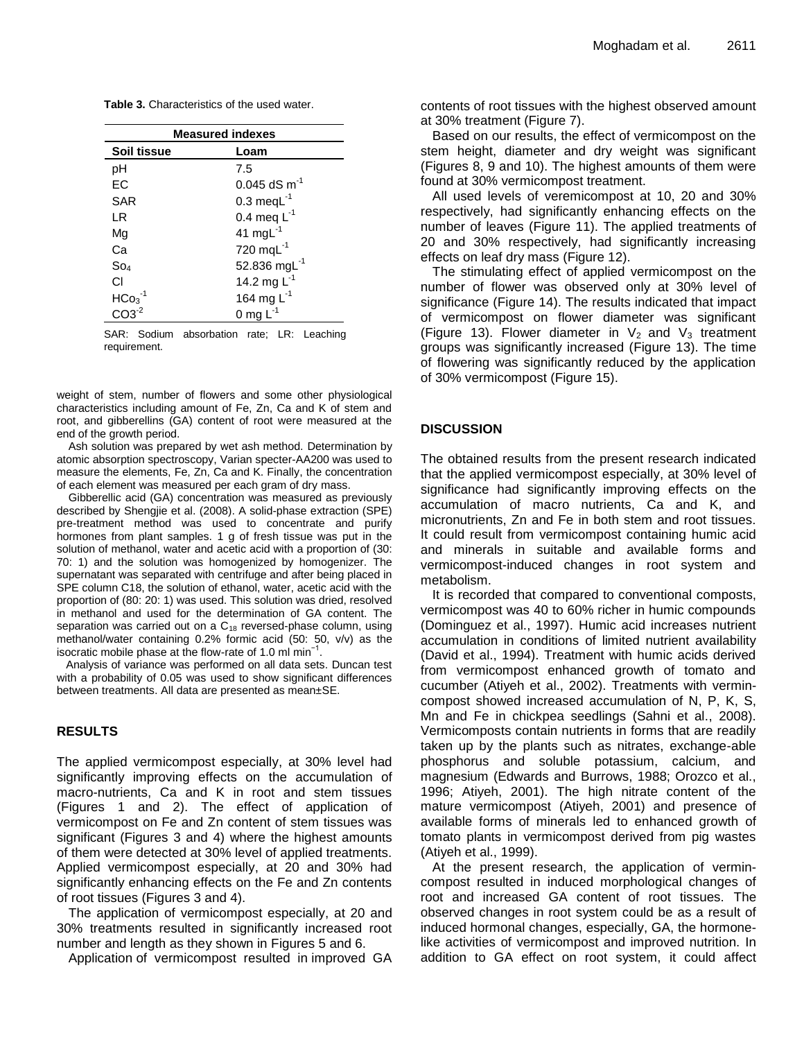**Table 3.** Characteristics of the used water.

| <b>Measured indexes</b> |                                            |  |  |  |
|-------------------------|--------------------------------------------|--|--|--|
| Soil tissue             | Loam                                       |  |  |  |
| рH                      | 7.5                                        |  |  |  |
| ЕC                      | $0.045$ dS m <sup>-1</sup>                 |  |  |  |
| SAR                     | $0.3 \text{ med}^{-1}$                     |  |  |  |
| LR                      | 0.4 meg $L^{-1}$                           |  |  |  |
| Mg                      | 41 mg $L^{-1}$                             |  |  |  |
| Сa                      | 720 mq $L^{-1}$                            |  |  |  |
| So <sub>4</sub>         | 52.836 mg $L^{-1}$                         |  |  |  |
| СI                      | 14.2 mg $L^{-1}$                           |  |  |  |
| $HCO3-1$                | 164 mg $L^{-1}$                            |  |  |  |
| $CO3-2$                 | 0 mg $L^{-1}$                              |  |  |  |
| requirement.            | SAR: Sodium absorbation rate; LR: Leaching |  |  |  |

weight of stem, number of flowers and some other physiological characteristics including amount of Fe, Zn, Ca and K of stem and root, and gibberellins (GA) content of root were measured at the end of the growth period.

Ash solution was prepared by wet ash method. Determination by atomic absorption spectroscopy, Varian specter-AA200 was used to measure the elements, Fe, Zn, Ca and K. Finally, the concentration of each element was measured per each gram of dry mass.

Gibberellic acid (GA) concentration was measured as previously described by Shengjie et al. (2008). A solid-phase extraction (SPE) pre-treatment method was used to concentrate and purify hormones from plant samples. 1 g of fresh tissue was put in the solution of methanol, water and acetic acid with a proportion of (30: 70: 1) and the solution was homogenized by homogenizer. The supernatant was separated with centrifuge and after being placed in SPE column C18, the solution of ethanol, water, acetic acid with the proportion of (80: 20: 1) was used. This solution was dried, resolved in methanol and used for the determination of GA content. The separation was carried out on a  $C_{18}$  reversed-phase column, using methanol/water containing 0.2% formic acid (50: 50, v/v) as the isocratic mobile phase at the flow-rate of 1.0 ml min−1 .

 Analysis of variance was performed on all data sets. Duncan test with a probability of 0.05 was used to show significant differences between treatments. All data are presented as mean±SE.

#### **RESULTS**

The applied vermicompost especially, at 30% level had significantly improving effects on the accumulation of macro-nutrients, Ca and K in root and stem tissues (Figures 1 and 2). The effect of application of vermicompost on Fe and Zn content of stem tissues was significant (Figures 3 and 4) where the highest amounts of them were detected at 30% level of applied treatments. Applied vermicompost especially, at 20 and 30% had significantly enhancing effects on the Fe and Zn contents of root tissues (Figures 3 and 4).

The application of vermicompost especially, at 20 and 30% treatments resulted in significantly increased root number and length as they shown in Figures 5 and 6.

Application of vermicompost resulted in improved GA

contents of root tissues with the highest observed amount at 30% treatment (Figure 7).

Based on our results, the effect of vermicompost on the stem height, diameter and dry weight was significant (Figures 8, 9 and 10). The highest amounts of them were found at 30% vermicompost treatment.

All used levels of veremicompost at 10, 20 and 30% respectively, had significantly enhancing effects on the number of leaves (Figure 11). The applied treatments of 20 and 30% respectively, had significantly increasing effects on leaf dry mass (Figure 12).

The stimulating effect of applied vermicompost on the number of flower was observed only at 30% level of significance (Figure 14). The results indicated that impact of vermicompost on flower diameter was significant (Figure 13). Flower diameter in  $V_2$  and  $V_3$  treatment groups was significantly increased (Figure 13). The time of flowering was significantly reduced by the application of 30% vermicompost (Figure 15).

### **DISCUSSION**

The obtained results from the present research indicated that the applied vermicompost especially, at 30% level of significance had significantly improving effects on the accumulation of macro nutrients, Ca and K, and micronutrients, Zn and Fe in both stem and root tissues. It could result from vermicompost containing humic acid and minerals in suitable and available forms and vermicompost-induced changes in root system and metabolism.

It is recorded that compared to conventional composts, vermicompost was 40 to 60% richer in humic compounds (Dominguez et al., 1997). Humic acid increases nutrient accumulation in conditions of limited nutrient availability (David et al., 1994). Treatment with humic acids derived from vermicompost enhanced growth of tomato and cucumber (Atiyeh et al., 2002). Treatments with vermincompost showed increased accumulation of N, P, K, S, Mn and Fe in chickpea seedlings (Sahni et al., 2008). Vermicomposts contain nutrients in forms that are readily taken up by the plants such as nitrates, exchange-able phosphorus and soluble potassium, calcium, and magnesium (Edwards and Burrows, 1988; Orozco et al., 1996; Atiyeh, 2001). The high nitrate content of the mature vermicompost (Atiyeh, 2001) and presence of available forms of minerals led to enhanced growth of tomato plants in vermicompost derived from pig wastes (Atiyeh et al., 1999).

At the present research, the application of vermincompost resulted in induced morphological changes of root and increased GA content of root tissues. The observed changes in root system could be as a result of induced hormonal changes, especially, GA, the hormonelike activities of vermicompost and improved nutrition. In addition to GA effect on root system, it could affect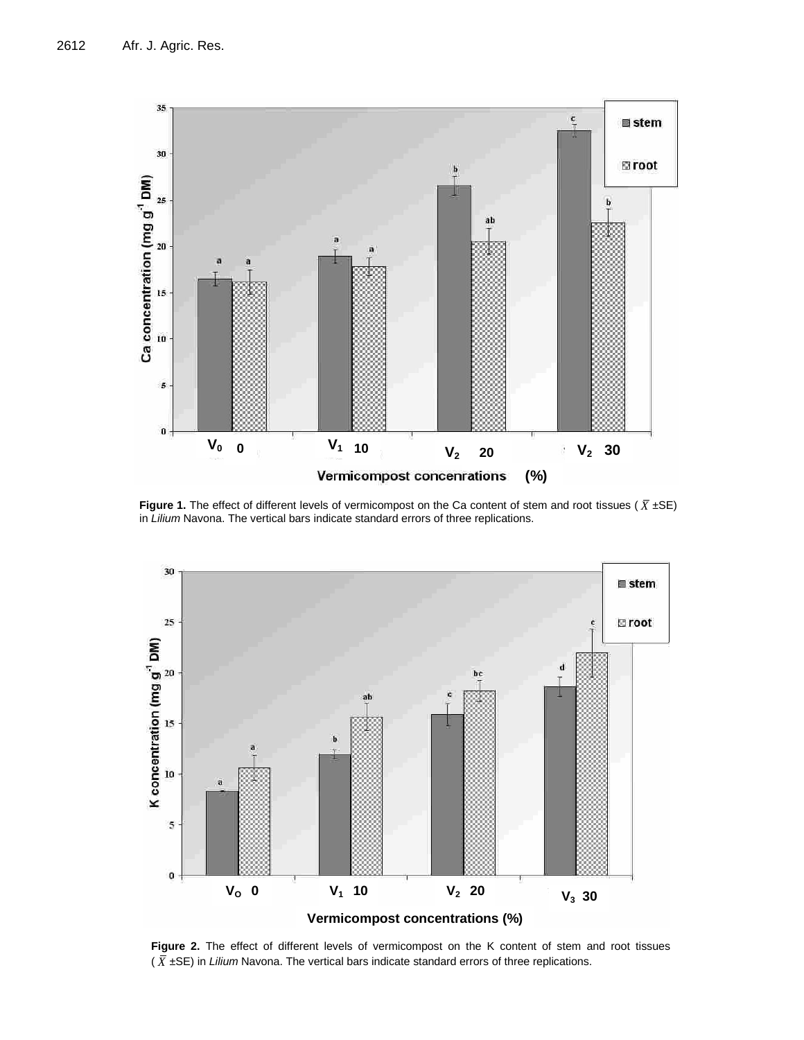

**Figure 1.** The effect of different levels of vermicompost on the Ca content of stem and root tissues ( $\bar{X}$  ±SE) in *Lilium* Navona. The vertical bars indicate standard errors of three replications.



**Figure 2.** The effect of different levels of vermicompost on the K content of stem and root tissues (  $\bar{X}$  ±SE) in *Lilium* Navona. The vertical bars indicate standard errors of three replications.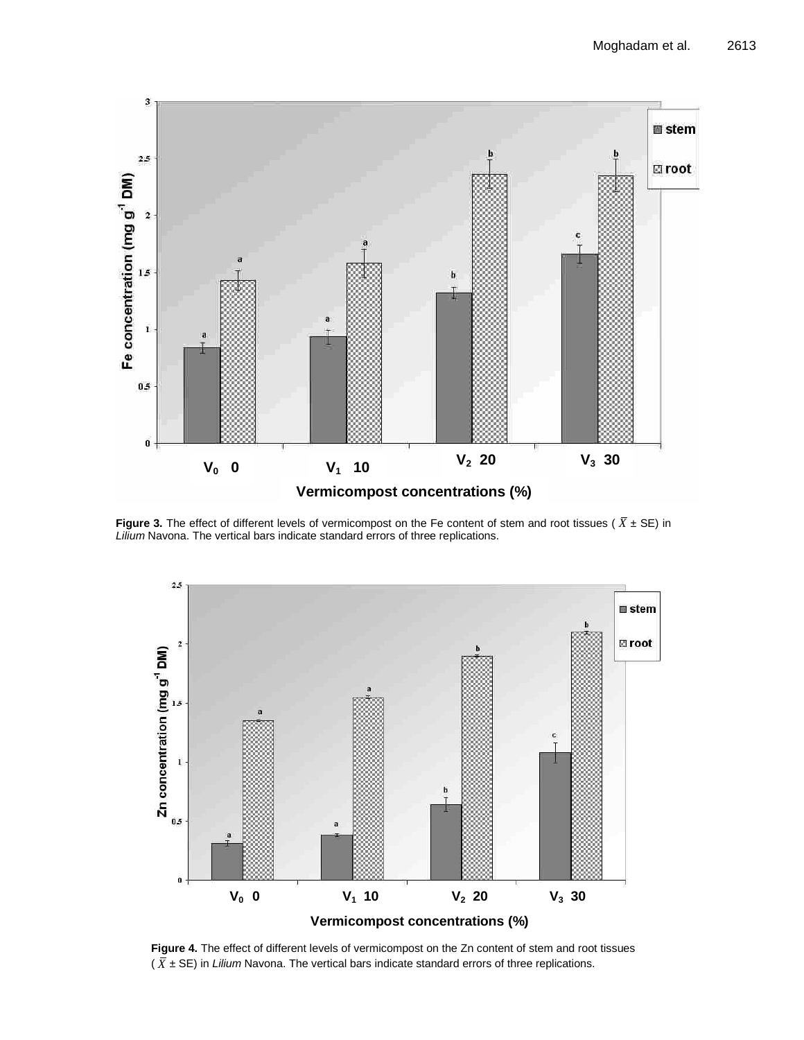

**Figure 3.** The effect of different levels of vermicompost on the Fe content of stem and root tissues ( *X* ± SE) in *Lilium* Navona. The vertical bars indicate standard errors of three replications.



**Figure 4.** The effect of different levels of vermicompost on the Zn content of stem and root tissues ( *X* ± SE) in *Lilium* Navona. The vertical bars indicate standard errors of three replications.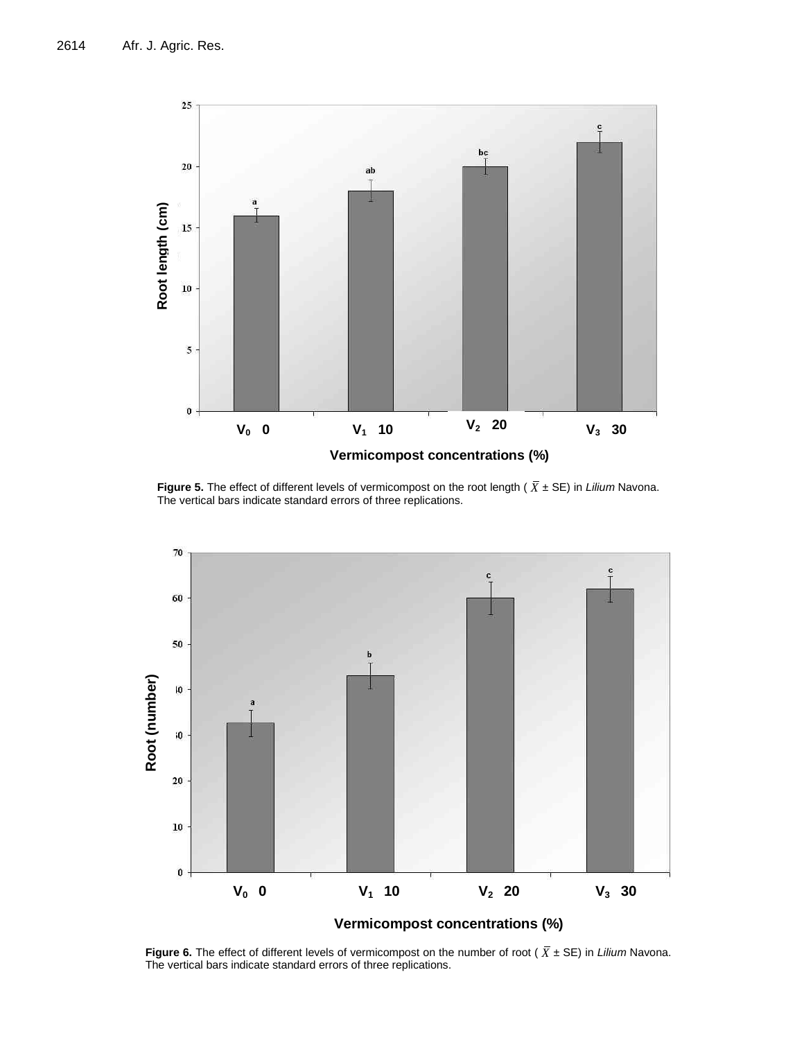

**Figure 5.** The effect of different levels of vermicompost on the root length ( *X* ± SE) in *Lilium* Navona. The vertical bars indicate standard errors of three replications.



**Figure 6.** The effect of different levels of vermicompost on the number of root ( *X* ± SE) in *Lilium* Navona. The vertical bars indicate standard errors of three replications.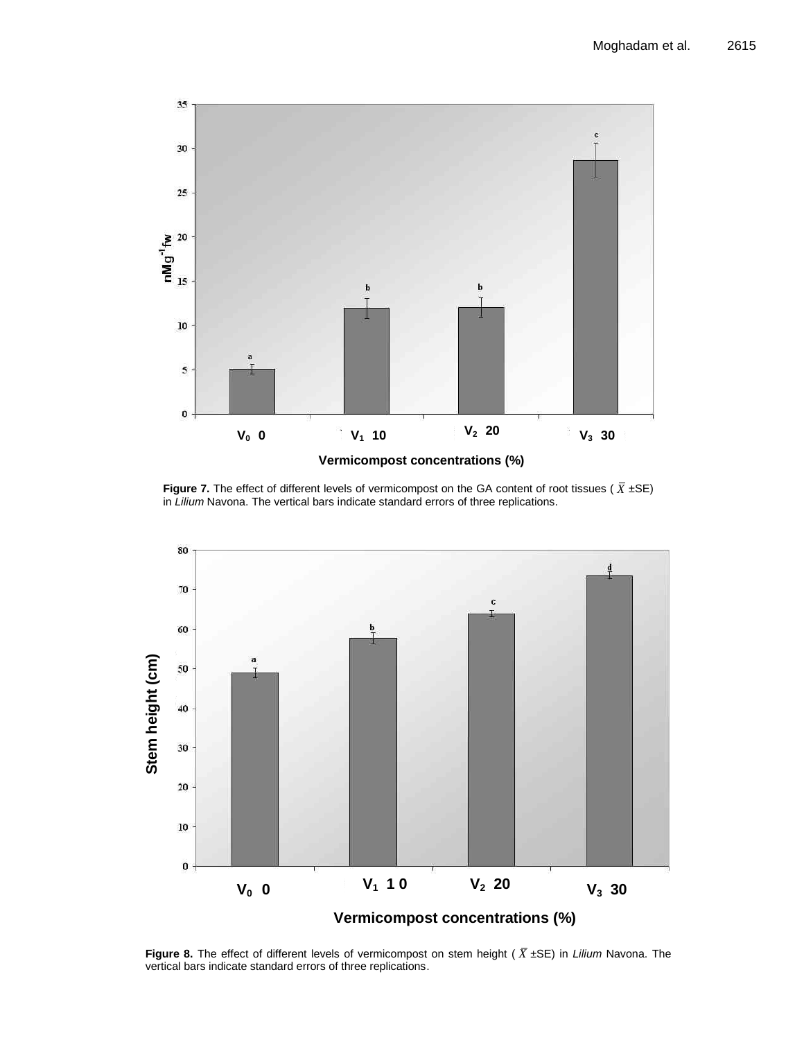

**Figure 7.** The effect of different levels of vermicompost on the GA content of root tissues ( $\overline{X}$  ±SE) in *Lilium* Navona. The vertical bars indicate standard errors of three replications.



**Figure 8.** The effect of different levels of vermicompost on stem height ( *X* ±SE) in *Lilium* Navona. The vertical bars indicate standard errors of three replications.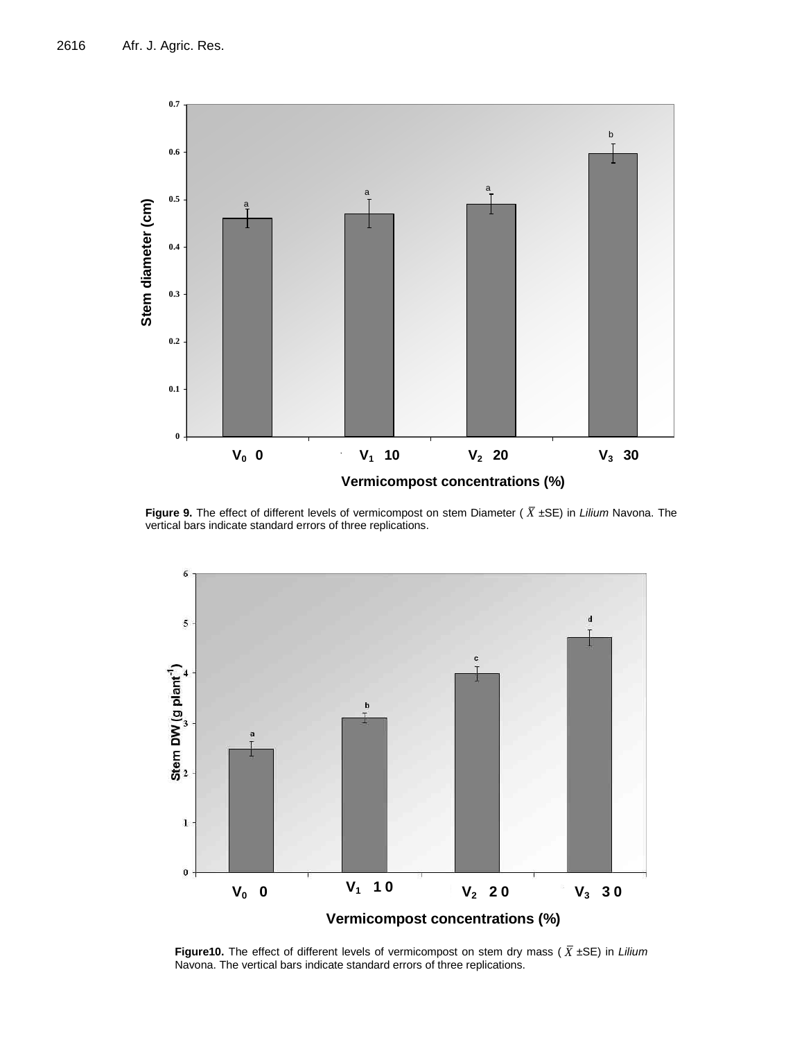

**Figure 9.** The effect of different levels of vermicompost on stem Diameter ( *X* ±SE) in *Lilium* Navona. The vertical bars indicate standard errors of three replications.



**Figure10.** The effect of different levels of vermicompost on stem dry mass ( *X* ±SE) in *Lilium* Navona. The vertical bars indicate standard errors of three replications.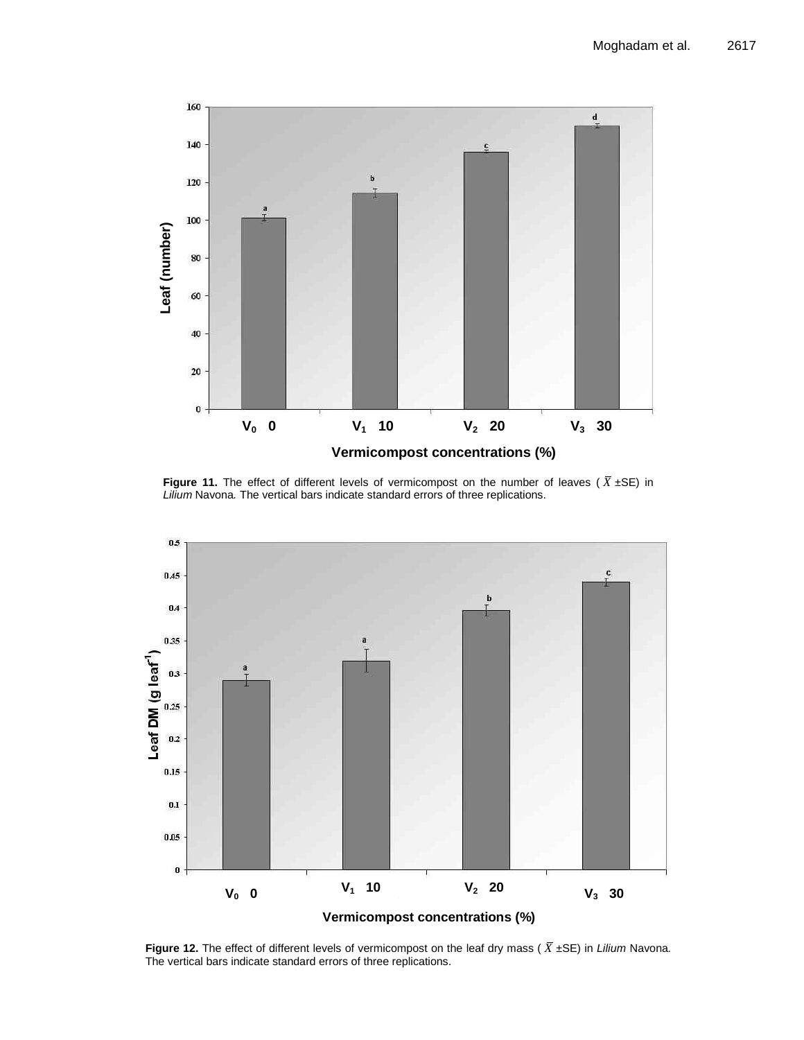

**Figure 11.** The effect of different levels of vermicompost on the number of leaves ( *X* ±SE) in *Lilium* Navona*.* The vertical bars indicate standard errors of three replications.



**Figure 12.** The effect of different levels of vermicompost on the leaf dry mass ( *X* ±SE) in *Lilium* Navona*.*  The vertical bars indicate standard errors of three replications.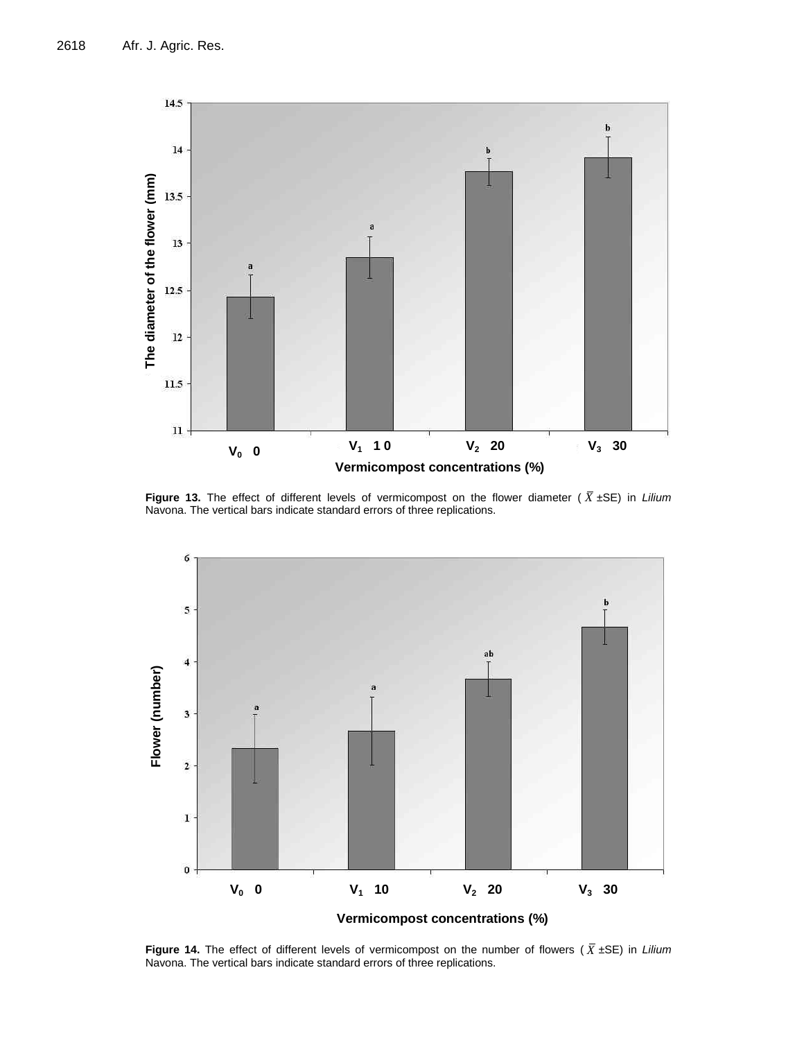

**Figure 13.** The effect of different levels of vermicompost on the flower diameter ( *X* ±SE) in *Lilium* Navona. The vertical bars indicate standard errors of three replications.



**Figure 14.** The effect of different levels of vermicompost on the number of flowers ( *X* ±SE) in *Lilium* Navona. The vertical bars indicate standard errors of three replications.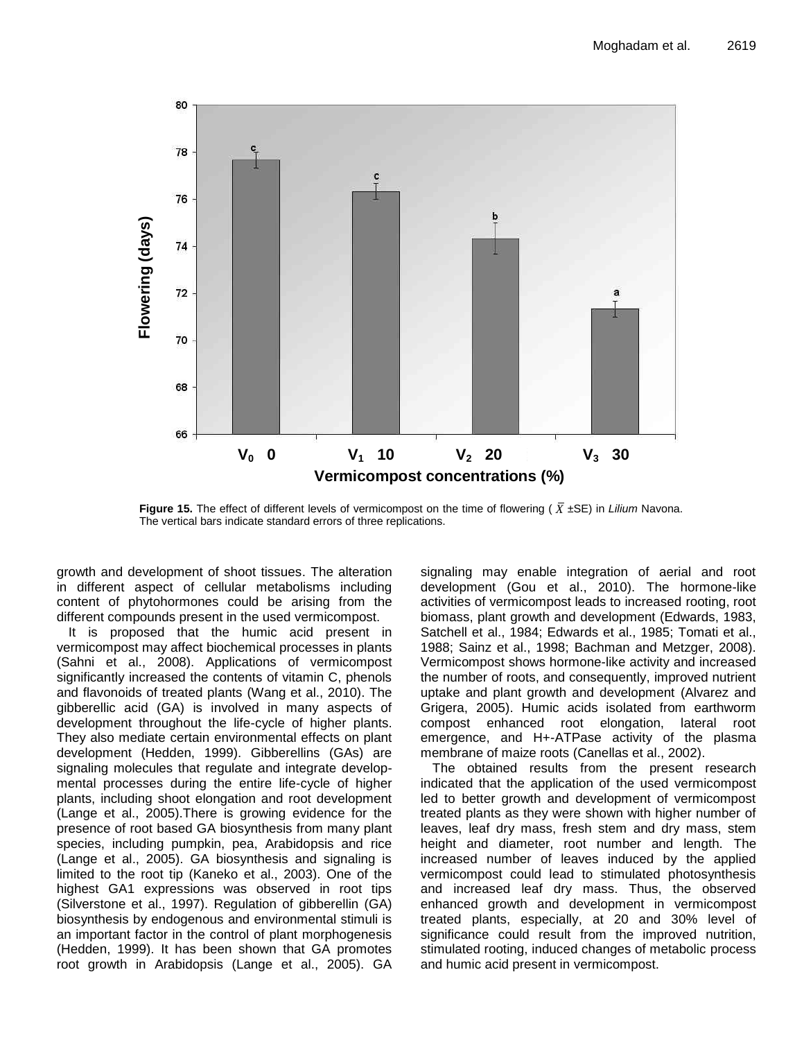

**Figure 15.** The effect of different levels of vermicompost on the time of flowering ( *X* ±SE) in *Lilium* Navona. The vertical bars indicate standard errors of three replications.

growth and development of shoot tissues. The alteration in different aspect of cellular metabolisms including content of phytohormones could be arising from the different compounds present in the used vermicompost.

**V<sup>0</sup> 0** an important factor in the control of plant morphogenesis It is proposed that the humic acid present in vermicompost may affect biochemical processes in plants (Sahni et al., 2008). Applications of vermicompost significantly increased the contents of vitamin C, phenols and flavonoids of treated plants (Wang et al., 2010). The gibberellic acid (GA) is involved in many aspects of development throughout the life-cycle of higher plants. They also mediate certain environmental effects on plant development (Hedden, 1999). Gibberellins (GAs) are signaling molecules that regulate and integrate developmental processes during the entire life-cycle of higher plants, including shoot elongation and root development (Lange et al., 2005).There is growing evidence for the presence of root based GA biosynthesis from many plant species, including pumpkin, pea, Arabidopsis and rice (Lange et al., 2005). GA biosynthesis and signaling is limited to the root tip (Kaneko et al., 2003). One of the highest GA1 expressions was observed in root tips (Silverstone et al., 1997). Regulation of gibberellin (GA) biosynthesis by endogenous and environmental stimuli is (Hedden, 1999). It has been shown that GA promotes root growth in Arabidopsis (Lange et al., 2005). GA

signaling may enable integration of aerial and root development (Gou et al., 2010). The hormone-like activities of vermicompost leads to increased rooting, root biomass, plant growth and development (Edwards, 1983, Satchell et al., 1984; Edwards et al., 1985; Tomati et al., 1988; Sainz et al., 1998; Bachman and Metzger, 2008). Vermicompost shows hormone-like activity and increased the number of roots, and consequently, improved nutrient uptake and plant growth and development (Alvarez and Grigera, 2005). Humic acids isolated from earthworm compost enhanced root elongation, lateral root emergence, and H+-ATPase activity of the plasma membrane of maize roots (Canellas et al., 2002).

The obtained results from the present research indicated that the application of the used vermicompost led to better growth and development of vermicompost treated plants as they were shown with higher number of leaves, leaf dry mass, fresh stem and dry mass, stem height and diameter, root number and length. The increased number of leaves induced by the applied vermicompost could lead to stimulated photosynthesis and increased leaf dry mass. Thus, the observed enhanced growth and development in vermicompost treated plants, especially, at 20 and 30% level of significance could result from the improved nutrition, stimulated rooting, induced changes of metabolic process and humic acid present in vermicompost.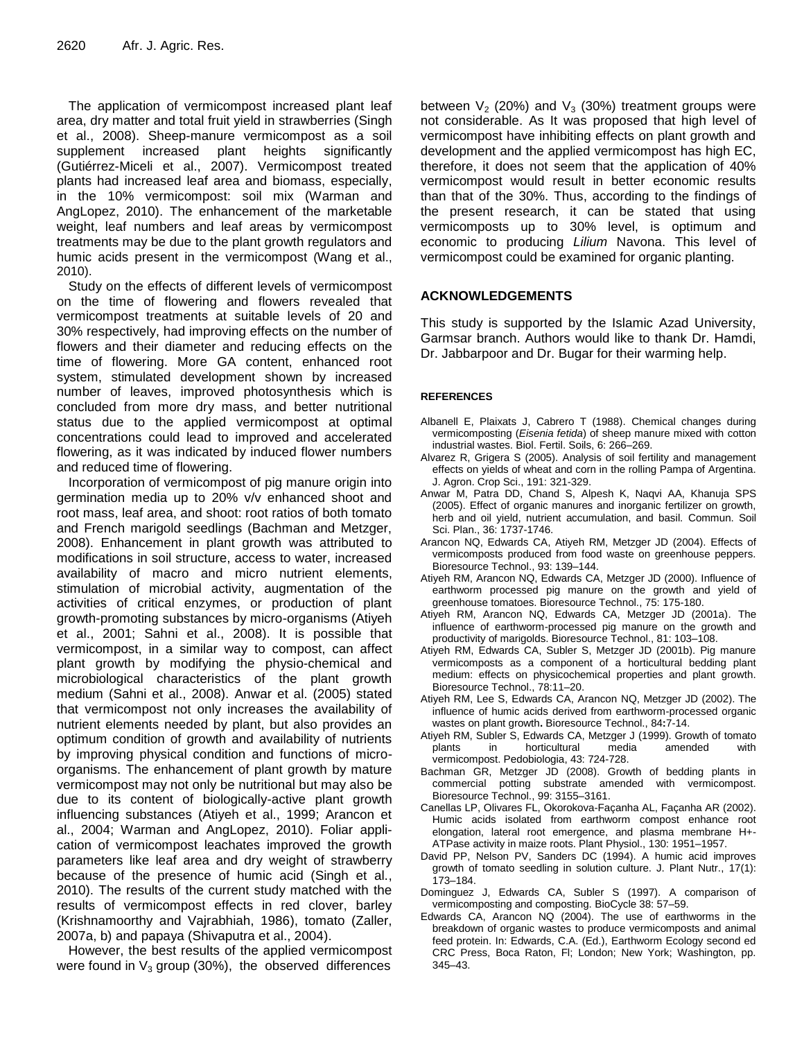The application of vermicompost increased plant leaf area, dry matter and total fruit yield in strawberries (Singh et al., 2008). Sheep-manure vermicompost as a soil supplement increased plant heights significantly (Gutiérrez-Miceli et al., 2007). Vermicompost treated plants had increased leaf area and biomass, especially, in the 10% vermicompost: soil mix (Warman and AngLopez, 2010). The enhancement of the marketable weight, leaf numbers and leaf areas by vermicompost treatments may be due to the plant growth regulators and humic acids present in the vermicompost (Wang et al., 2010).

Study on the effects of different levels of vermicompost on the time of flowering and flowers revealed that vermicompost treatments at suitable levels of 20 and 30% respectively, had improving effects on the number of flowers and their diameter and reducing effects on the time of flowering. More GA content, enhanced root system, stimulated development shown by increased number of leaves, improved photosynthesis which is concluded from more dry mass, and better nutritional status due to the applied vermicompost at optimal concentrations could lead to improved and accelerated flowering, as it was indicated by induced flower numbers and reduced time of flowering.

Incorporation of vermicompost of pig manure origin into germination media up to 20% v/v enhanced shoot and root mass, leaf area, and shoot: root ratios of both tomato and French marigold seedlings (Bachman and Metzger, 2008). Enhancement in plant growth was attributed to modifications in soil structure, access to water, increased availability of macro and micro nutrient elements, stimulation of microbial activity, augmentation of the activities of critical enzymes, or production of plant growth-promoting substances by micro-organisms (Atiyeh et al., 2001; Sahni et al., 2008). It is possible that vermicompost, in a similar way to compost, can affect plant growth by modifying the physio-chemical and microbiological characteristics of the plant growth medium (Sahni et al., 2008). Anwar et al. (2005) stated that vermicompost not only increases the availability of nutrient elements needed by plant, but also provides an optimum condition of growth and availability of nutrients by improving physical condition and functions of microorganisms. The enhancement of plant growth by mature vermicompost may not only be nutritional but may also be due to its content of biologically-active plant growth influencing substances (Atiyeh et al., 1999; Arancon et al., 2004; Warman and AngLopez, 2010). Foliar application of vermicompost leachates improved the growth parameters like leaf area and dry weight of strawberry because of the presence of humic acid (Singh et al., 2010). The results of the current study matched with the results of vermicompost effects in red clover, barley (Krishnamoorthy and Vajrabhiah, 1986), tomato (Zaller, 2007a, b) and papaya (Shivaputra et al., 2004).

However, the best results of the applied vermicompost were found in  $V_3$  group (30%), the observed differences

between  $V_2$  (20%) and  $V_3$  (30%) treatment groups were not considerable. As It was proposed that high level of vermicompost have inhibiting effects on plant growth and development and the applied vermicompost has high EC, therefore, it does not seem that the application of 40% vermicompost would result in better economic results than that of the 30%. Thus, according to the findings of the present research, it can be stated that using vermicomposts up to 30% level, is optimum and economic to producing *Lilium* Navona. This level of vermicompost could be examined for organic planting.

## **ACKNOWLEDGEMENTS**

This study is supported by the Islamic Azad University, Garmsar branch. Authors would like to thank Dr. Hamdi, Dr. Jabbarpoor and Dr. Bugar for their warming help.

### **REFERENCES**

- Albanell E, Plaixats J, Cabrero T (1988). Chemical changes during vermicomposting (*Eisenia fetida*) of sheep manure mixed with cotton industrial wastes. Biol. Fertil. Soils, 6: 266–269.
- Alvarez R, Grigera S (2005). Analysis of soil fertility and management effects on yields of wheat and corn in the rolling Pampa of Argentina. J. Agron. Crop Sci., 191: 321-329.
- Anwar M, Patra DD, Chand S, Alpesh K, Naqvi AA, Khanuja SPS (2005). Effect of organic manures and inorganic fertilizer on growth, herb and oil yield, nutrient accumulation, and basil. Commun. Soil Sci. Plan., 36: 1737-1746.
- Arancon NQ, Edwards CA, Atiyeh RM, Metzger JD (2004). Effects of vermicomposts produced from food waste on greenhouse peppers. Bioresource Technol., 93: 139–144.
- Atiyeh RM, Arancon NQ, Edwards CA, Metzger JD (2000). Influence of earthworm processed pig manure on the growth and yield of greenhouse tomatoes. Bioresource Technol., 75: 175-180.
- Atiyeh RM, Arancon NQ, Edwards CA, Metzger JD (2001a). The influence of earthworm-processed pig manure on the growth and productivity of marigolds. Bioresource Technol., 81: 103–108.
- Atiyeh RM, Edwards CA, Subler S, Metzger JD (2001b). Pig manure vermicomposts as a component of a horticultural bedding plant medium: effects on physicochemical properties and plant growth. Bioresource Technol., 78:11–20.
- Atiyeh RM, Lee S, Edwards CA, Arancon NQ, Metzger JD (2002). The influence of humic acids derived from earthworm-processed organic wastes on plant growth**.** Bioresource Technol., 84**:**7-14.
- Atiyeh RM, Subler S, Edwards CA, Metzger J (1999). Growth of tomato plants in horticultural media amended with vermicompost. Pedobiologia, 43: 724-728.
- Bachman GR, Metzger JD (2008). Growth of bedding plants in commercial potting substrate amended with vermicompost. Bioresource Technol., 99: 3155–3161.
- Canellas LP, Olivares FL, Okorokova-Façanha AL, Façanha AR (2002). Humic acids isolated from earthworm compost enhance root elongation, lateral root emergence, and plasma membrane H+- ATPase activity in maize roots. Plant Physiol., 130: 1951–1957.
- David PP, Nelson PV, Sanders DC (1994). A humic acid improves growth of tomato seedling in solution culture. J. Plant Nutr., 17(1): 173–184.
- Dominguez J, Edwards CA, Subler S (1997). A comparison of vermicomposting and composting. BioCycle 38: 57–59.
- Edwards CA, Arancon NQ (2004). The use of earthworms in the breakdown of organic wastes to produce vermicomposts and animal feed protein. In: Edwards, C.A. (Ed.), Earthworm Ecology second ed CRC Press, Boca Raton, Fl; London; New York; Washington, pp. 345–43.